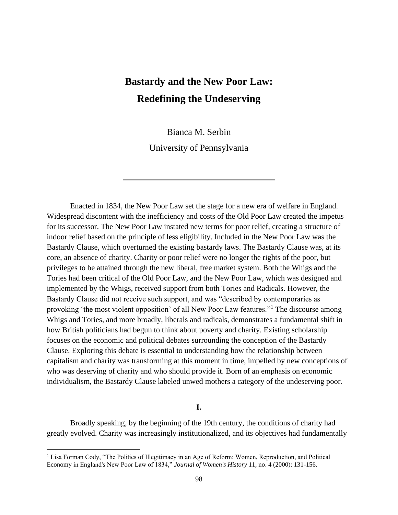# **Bastardy and the New Poor Law: Redefining the Undeserving**

Bianca M. Serbin

University of Pennsylvania

Enacted in 1834, the New Poor Law set the stage for a new era of welfare in England. Widespread discontent with the inefficiency and costs of the Old Poor Law created the impetus for its successor. The New Poor Law instated new terms for poor relief, creating a structure of indoor relief based on the principle of less eligibility. Included in the New Poor Law was the Bastardy Clause, which overturned the existing bastardy laws. The Bastardy Clause was, at its core, an absence of charity. Charity or poor relief were no longer the rights of the poor, but privileges to be attained through the new liberal, free market system. Both the Whigs and the Tories had been critical of the Old Poor Law, and the New Poor Law, which was designed and implemented by the Whigs, received support from both Tories and Radicals. However, the Bastardy Clause did not receive such support, and was "described by contemporaries as provoking 'the most violent opposition' of all New Poor Law features."<sup>1</sup> The discourse among Whigs and Tories, and more broadly, liberals and radicals, demonstrates a fundamental shift in how British politicians had begun to think about poverty and charity. Existing scholarship focuses on the economic and political debates surrounding the conception of the Bastardy Clause. Exploring this debate is essential to understanding how the relationship between capitalism and charity was transforming at this moment in time, impelled by new conceptions of who was deserving of charity and who should provide it. Born of an emphasis on economic individualism, the Bastardy Clause labeled unwed mothers a category of the undeserving poor.

## **I.**

Broadly speaking, by the beginning of the 19th century, the conditions of charity had greatly evolved. Charity was increasingly institutionalized, and its objectives had fundamentally

<sup>&</sup>lt;sup>1</sup> Lisa Forman Cody, "The Politics of Illegitimacy in an Age of Reform: Women, Reproduction, and Political Economy in England's New Poor Law of 1834," *Journal of Women's History* 11, no. 4 (2000): 131-156.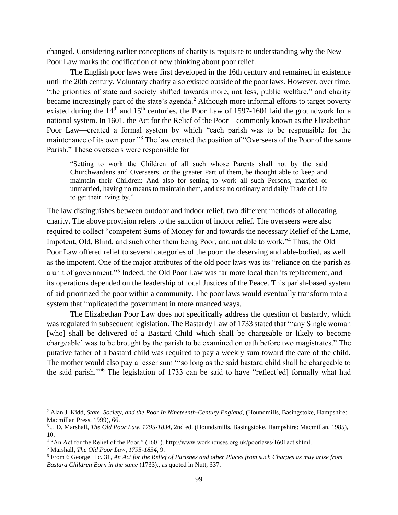changed. Considering earlier conceptions of charity is requisite to understanding why the New Poor Law marks the codification of new thinking about poor relief.

The English poor laws were first developed in the 16th century and remained in existence until the 20th century. Voluntary charity also existed outside of the poor laws. However, over time, "the priorities of state and society shifted towards more, not less, public welfare," and charity became increasingly part of the state's agenda.<sup>2</sup> Although more informal efforts to target poverty existed during the  $14<sup>th</sup>$  and  $15<sup>th</sup>$  centuries, the Poor Law of 1597-1601 laid the groundwork for a national system. In 1601, the Act for the Relief of the Poor––commonly known as the Elizabethan Poor Law––created a formal system by which "each parish was to be responsible for the maintenance of its own poor."<sup>3</sup> The law created the position of "Overseers of the Poor of the same Parish." These overseers were responsible for

"Setting to work the Children of all such whose Parents shall not by the said Churchwardens and Overseers, or the greater Part of them, be thought able to keep and maintain their Children: And also for setting to work all such Persons, married or unmarried, having no means to maintain them, and use no ordinary and daily Trade of Life to get their living by."

The law distinguishes between outdoor and indoor relief, two different methods of allocating charity. The above provision refers to the sanction of indoor relief. The overseers were also required to collect "competent Sums of Money for and towards the necessary Relief of the Lame, Impotent, Old, Blind, and such other them being Poor, and not able to work."<sup>4</sup> Thus, the Old Poor Law offered relief to several categories of the poor: the deserving and able-bodied, as well as the impotent. One of the major attributes of the old poor laws was its "reliance on the parish as a unit of government."<sup>5</sup> Indeed, the Old Poor Law was far more local than its replacement, and its operations depended on the leadership of local Justices of the Peace. This parish-based system of aid prioritized the poor within a community. The poor laws would eventually transform into a system that implicated the government in more nuanced ways.

The Elizabethan Poor Law does not specifically address the question of bastardy, which was regulated in subsequent legislation. The Bastardy Law of 1733 stated that "'any Single woman [who] shall be delivered of a Bastard Child which shall be chargeable or likely to become chargeable' was to be brought by the parish to be examined on oath before two magistrates." The putative father of a bastard child was required to pay a weekly sum toward the care of the child. The mother would also pay a lesser sum "'so long as the said bastard child shall be chargeable to the said parish.'"<sup>6</sup> The legislation of 1733 can be said to have "reflect[ed] formally what had

<sup>2</sup> Alan J. Kidd, *State, Society, and the Poor In Nineteenth-Century England*, (Houndmills, Basingstoke, Hampshire: Macmillan Press, 1999), 66.

<sup>3</sup> J. D. Marshall, *The Old Poor Law, 1795-1834,* 2nd ed. (Houndsmills, Basingstoke, Hampshire: Macmillan, 1985), 10.

<sup>4</sup> "An Act for the Relief of the Poor," (1601). http://www.workhouses.org.uk/poorlaws/1601act.shtml.

<sup>5</sup> Marshall, *The Old Poor Law, 1795-1834,* 9.

<sup>6</sup> From 6 George II c. 31, *An Act for the Relief of Parishes and other Places from such Charges as may arise from Bastard Children Born in the same* (1733)., as quoted in Nutt, 337.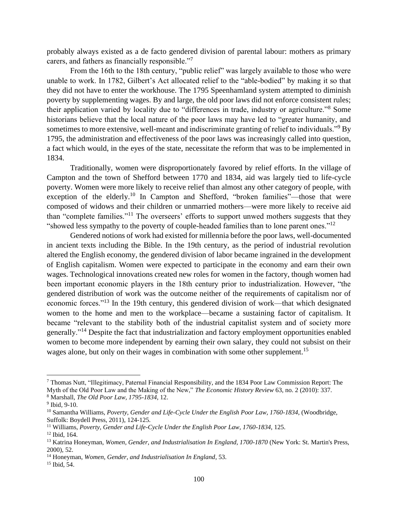probably always existed as a de facto gendered division of parental labour: mothers as primary carers, and fathers as financially responsible."<sup>7</sup>

From the 16th to the 18th century, "public relief" was largely available to those who were unable to work. In 1782, Gilbert's Act allocated relief to the "able-bodied" by making it so that they did not have to enter the workhouse. The 1795 Speenhamland system attempted to diminish poverty by supplementing wages. By and large, the old poor laws did not enforce consistent rules; their application varied by locality due to "differences in trade, industry or agriculture."<sup>8</sup> Some historians believe that the local nature of the poor laws may have led to "greater humanity, and sometimes to more extensive, well-meant and indiscriminate granting of relief to individuals."<sup>9</sup> By 1795, the administration and effectiveness of the poor laws was increasingly called into question, a fact which would, in the eyes of the state, necessitate the reform that was to be implemented in 1834.

Traditionally, women were disproportionately favored by relief efforts. In the village of Campton and the town of Shefford between 1770 and 1834, aid was largely tied to life-cycle poverty. Women were more likely to receive relief than almost any other category of people, with exception of the elderly.<sup>10</sup> In Campton and Shefford, "broken families"—those that were composed of widows and their children or unmarried mothers––were more likely to receive aid than "complete families."<sup>11</sup> The overseers' efforts to support unwed mothers suggests that they "showed less sympathy to the poverty of couple-headed families than to lone parent ones."<sup>12</sup>

Gendered notions of work had existed for millennia before the poor laws, well-documented in ancient texts including the Bible. In the 19th century, as the period of industrial revolution altered the English economy, the gendered division of labor became ingrained in the development of English capitalism. Women were expected to participate in the economy and earn their own wages. Technological innovations created new roles for women in the factory, though women had been important economic players in the 18th century prior to industrialization. However, "the gendered distribution of work was the outcome neither of the requirements of capitalism nor of economic forces."<sup>13</sup> In the 19th century, this gendered division of work––that which designated women to the home and men to the workplace––became a sustaining factor of capitalism. It became "relevant to the stability both of the industrial capitalist system and of society more generally."<sup>14</sup> Despite the fact that industrialization and factory employment opportunities enabled women to become more independent by earning their own salary, they could not subsist on their wages alone, but only on their wages in combination with some other supplement.<sup>15</sup>

<sup>7</sup> Thomas Nutt, "Illegitimacy, Paternal Financial Responsibility, and the 1834 Poor Law Commission Report: The Myth of the Old Poor Law and the Making of the New," *The Economic History Review* 63, no. 2 (2010): 337. <sup>8</sup> Marshall, *The Old Poor Law, 1795-1834,* 12.

<sup>9</sup> Ibid*,* 9-10.

<sup>10</sup> Samantha Williams, *Poverty, Gender and Life-Cycle Under the English Poor Law, 1760-1834*, (Woodbridge, Suffolk: Boydell Press, 2011), 124-125.

<sup>11</sup> Williams, *Poverty, Gender and Life-Cycle Under the English Poor Law, 1760-1834*, 125.

<sup>12</sup> Ibid, 164.

<sup>13</sup> Katrina Honeyman, *Women, Gender, and Industrialisation In England, 1700-1870* (New York: St. Martin's Press, 2000), 52.

<sup>14</sup> Honeyman, *Women, Gender, and Industrialisation In England*, 53.

<sup>&</sup>lt;sup>15</sup> Ibid, 54.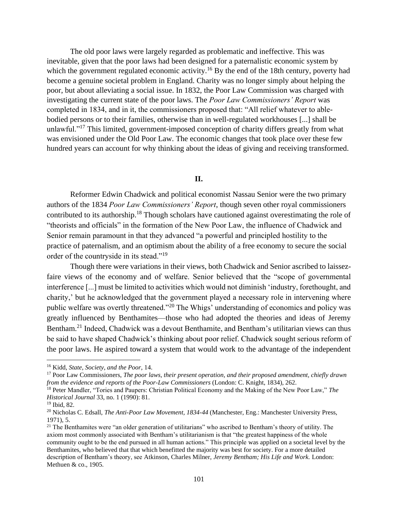The old poor laws were largely regarded as problematic and ineffective. This was inevitable, given that the poor laws had been designed for a paternalistic economic system by which the government regulated economic activity.<sup>16</sup> By the end of the 18th century, poverty had become a genuine societal problem in England. Charity was no longer simply about helping the poor, but about alleviating a social issue. In 1832, the Poor Law Commission was charged with investigating the current state of the poor laws. The *Poor Law Commissioners' Report* was completed in 1834, and in it, the commissioners proposed that: "All relief whatever to ablebodied persons or to their families, otherwise than in well-regulated workhouses [...] shall be unlawful."<sup>17</sup> This limited, government-imposed conception of charity differs greatly from what was envisioned under the Old Poor Law. The economic changes that took place over these few hundred years can account for why thinking about the ideas of giving and receiving transformed.

### **II.**

Reformer Edwin Chadwick and political economist Nassau Senior were the two primary authors of the 1834 *Poor Law Commissioners' Report*, though seven other royal commissioners contributed to its authorship.<sup>18</sup> Though scholars have cautioned against overestimating the role of "theorists and officials" in the formation of the New Poor Law, the influence of Chadwick and Senior remain paramount in that they advanced "a powerful and principled hostility to the practice of paternalism, and an optimism about the ability of a free economy to secure the social order of the countryside in its stead."<sup>19</sup>

Though there were variations in their views, both Chadwick and Senior ascribed to laissezfaire views of the economy and of welfare. Senior believed that the "scope of governmental interference [...] must be limited to activities which would not diminish 'industry, forethought, and charity,' but he acknowledged that the government played a necessary role in intervening where public welfare was overtly threatened."<sup>20</sup> The Whigs' understanding of economics and policy was greatly influenced by Benthamites––those who had adopted the theories and ideas of Jeremy Bentham.<sup>21</sup> Indeed, Chadwick was a devout Benthamite, and Bentham's utilitarian views can thus be said to have shaped Chadwick's thinking about poor relief. Chadwick sought serious reform of the poor laws. He aspired toward a system that would work to the advantage of the independent

<sup>16</sup> Kidd, *State, Society, and the Poor*, 14.

<sup>17</sup> Poor Law Commissioners, *The poor laws, their present operation, and their proposed amendment, chiefly drawn from the evidence and reports of the Poor-Law Commissioners* (London: C. Knight, 1834), 262.

<sup>18</sup> Peter Mandler, "Tories and Paupers: Christian Political Economy and the Making of the New Poor Law," *The Historical Journal* 33, no. 1 (1990): 81.

<sup>19</sup> Ibid, 82.

<sup>20</sup> Nicholas C. Edsall, *The Anti-Poor Law Movement, 1834-44* (Manchester, Eng.: Manchester University Press, 1971), 5.

<sup>&</sup>lt;sup>21</sup> The Benthamites were "an older generation of utilitarians" who ascribed to Bentham's theory of utility. The axiom most commonly associated with Bentham's utilitarianism is that "the greatest happiness of the whole community ought to be the end pursued in all human actions." This principle was applied on a societal level by the Benthamites, who believed that that which benefitted the majority was best for society. For a more detailed description of Bentham's theory, see Atkinson, Charles Milner, *Jeremy Bentham; His Life and Work.* London: Methuen & co., 1905.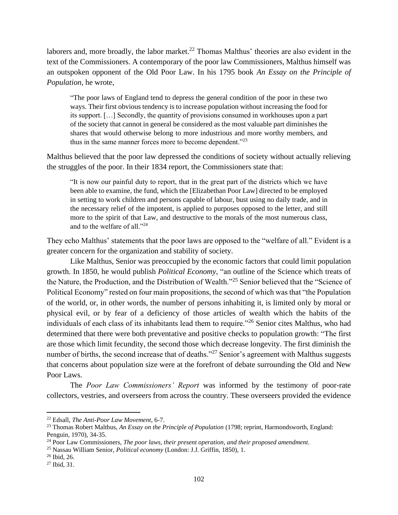laborers and, more broadly, the labor market.<sup>22</sup> Thomas Malthus' theories are also evident in the text of the Commissioners. A contemporary of the poor law Commissioners, Malthus himself was an outspoken opponent of the Old Poor Law. In his 1795 book *An Essay on the Principle of Population*, he wrote,

"The poor laws of England tend to depress the general condition of the poor in these two ways. Their first obvious tendency is to increase population without increasing the food for its support. […] Secondly, the quantity of provisions consumed in workhouses upon a part of the society that cannot in general be considered as the most valuable part diminishes the shares that would otherwise belong to more industrious and more worthy members, and thus in the same manner forces more to become dependent."<sup>23</sup>

Malthus believed that the poor law depressed the conditions of society without actually relieving the struggles of the poor. In their 1834 report, the Commissioners state that:

"It is now our painful duty to report, that in the great part of the districts which we have been able to examine, the fund, which the [Elizabethan Poor Law] directed to be employed in setting to work children and persons capable of labour, bust using no daily trade, and in the necessary relief of the impotent, is applied to purposes opposed to the letter, and still more to the spirit of that Law, and destructive to the morals of the most numerous class, and to the welfare of all."<sup>24</sup>

They echo Malthus' statements that the poor laws are opposed to the "welfare of all." Evident is a greater concern for the organization and stability of society.

Like Malthus, Senior was preoccupied by the economic factors that could limit population growth. In 1850, he would publish *Political Economy*, "an outline of the Science which treats of the Nature, the Production, and the Distribution of Wealth."<sup>25</sup> Senior believed that the "Science of Political Economy" rested on four main propositions, the second of which was that "the Population of the world, or, in other words, the number of persons inhabiting it, is limited only by moral or physical evil, or by fear of a deficiency of those articles of wealth which the habits of the individuals of each class of its inhabitants lead them to require."<sup>26</sup> Senior cites Malthus, who had determined that there were both preventative and positive checks to population growth: "The first are those which limit fecundity, the second those which decrease longevity. The first diminish the number of births, the second increase that of deaths."<sup>27</sup> Senior's agreement with Malthus suggests that concerns about population size were at the forefront of debate surrounding the Old and New Poor Laws.

The *Poor Law Commissioners' Report* was informed by the testimony of poor-rate collectors, vestries, and overseers from across the country. These overseers provided the evidence

<sup>25</sup> Nassau William Senior, *Political economy* (London: J.J. Griffin, 1850), 1.

<sup>22</sup> Edsall, *The Anti-Poor Law Movement*, 6-7.

<sup>23</sup> Thomas Robert Malthus, *An Essay on the Principle of Population* (1798; reprint, Harmondsworth, England: Penguin, 1970), 34-35.

<sup>24</sup> Poor Law Commissioners, *The poor laws, their present operation, and their proposed amendment*.

<sup>26</sup> Ibid, 26.

 $27$  Ibid, 31.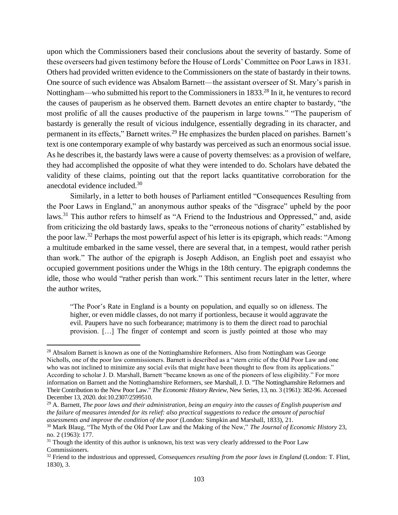upon which the Commissioners based their conclusions about the severity of bastardy. Some of these overseers had given testimony before the House of Lords' Committee on Poor Laws in 1831. Others had provided written evidence to the Commissioners on the state of bastardy in their towns. One source of such evidence was Absalom Barnett––the assistant overseer of St. Mary's parish in Nottingham—who submitted his report to the Commissioners in 1833.<sup>28</sup> In it, he ventures to record the causes of pauperism as he observed them. Barnett devotes an entire chapter to bastardy, "the most prolific of all the causes productive of the pauperism in large towns." "The pauperism of bastardy is generally the result of vicious indulgence, essentially degrading in its character, and permanent in its effects," Barnett writes.<sup>29</sup> He emphasizes the burden placed on parishes. Barnett's text is one contemporary example of why bastardy was perceived as such an enormous social issue. As he describes it, the bastardy laws were a cause of poverty themselves: as a provision of welfare, they had accomplished the opposite of what they were intended to do. Scholars have debated the validity of these claims, pointing out that the report lacks quantitative corroboration for the anecdotal evidence included.<sup>30</sup>

Similarly, in a letter to both houses of Parliament entitled "Consequences Resulting from the Poor Laws in England," an anonymous author speaks of the "disgrace" upheld by the poor laws.<sup>31</sup> This author refers to himself as "A Friend to the Industrious and Oppressed," and, aside from criticizing the old bastardy laws, speaks to the "erroneous notions of charity" established by the poor law.<sup>32</sup> Perhaps the most powerful aspect of his letter is its epigraph, which reads: "Among a multitude embarked in the same vessel, there are several that, in a tempest, would rather perish than work." The author of the epigraph is Joseph Addison, an English poet and essayist who occupied government positions under the Whigs in the 18th century. The epigraph condemns the idle, those who would "rather perish than work." This sentiment recurs later in the letter, where the author writes,

"The Poor's Rate in England is a bounty on population, and equally so on idleness. The higher, or even middle classes, do not marry if portionless, because it would aggravate the evil. Paupers have no such forbearance; matrimony is to them the direct road to parochial provision. […] The finger of contempt and scorn is justly pointed at those who may

<sup>&</sup>lt;sup>28</sup> Absalom Barnett is known as one of the Nottinghamshire Reformers. Also from Nottingham was George Nicholls, one of the poor law commissioners. Barnett is described as a "stern critic of the Old Poor Law and one who was not inclined to minimize any social evils that might have been thought to flow from its applications." According to scholar J. D. Marshall, Barnett "became known as one of the pioneers of less eligibility." For more information on Barnett and the Nottinghamshire Reformers, see Marshall, J. D. "The Nottinghamshire Reformers and Their Contribution to the New Poor Law." *The Economic History Review*, New Series, 13, no. 3 (1961): 382-96. Accessed December 13, 2020. doi:10.2307/2599510.

<sup>29</sup> A. Barnett, *The poor laws and their administration, being an enquiry into the causes of English pauperism and the failure of measures intended for its relief: also practical suggestions to reduce the amount of parochial assessments and improve the condition of the poor* (London: Simpkin and Marshall, 1833), 21.

<sup>30</sup> Mark Blaug, "The Myth of the Old Poor Law and the Making of the New," *The Journal of Economic History* 23, no. 2 (1963): 177.

 $31$  Though the identity of this author is unknown, his text was very clearly addressed to the Poor Law Commissioners.

<sup>&</sup>lt;sup>32</sup> Friend to the industrious and oppressed, *Consequences resulting from the poor laws in England* (London: T. Flint, 1830), 3.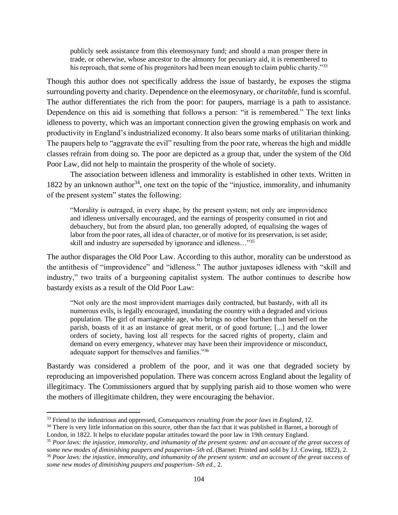publicly seek assistance from this eleemosynary fund; and should a man prosper there in trade, or otherwise, whose ancestor to the almonry for pecuniary aid, it is remembered to his reproach, that some of his progenitors had been mean enough to claim public charity."33

Though this author does not specifically address the issue of bastardy, he exposes the stigma surrounding poverty and charity. Dependence on the eleemosynary, or *charitable*, fund is scornful. The author differentiates the rich from the poor: for paupers, marriage is a path to assistance. Dependence on this aid is something that follows a person: "it is remembered." The text links idleness to poverty, which was an important connection given the growing emphasis on work and productivity in England's industrialized economy. It also bears some marks of utilitarian thinking. The paupers help to "aggravate the evil" resulting from the poor rate, whereas the high and middle classes refrain from doing so. The poor are depicted as a group that, under the system of the Old Poor Law, did not help to maintain the prosperity of the whole of society.

The association between idleness and immorality is established in other texts. Written in 1822 by an unknown author<sup>34</sup>, one text on the topic of the "injustice, immorality, and inhumanity of the present system" states the following:

"Morality is outraged, in every shape, by the present system; not only are improvidence and idleness universally encouraged, and the earnings of prosperity consumed in riot and debauchery, but from the absurd plan, too generally adopted, of equalising the wages of labor from the poor rates, all idea of character, or of motive for its preservation, is set aside; skill and industry are superseded by ignorance and idleness…"<sup>35</sup>

The author disparages the Old Poor Law. According to this author, morality can be understood as the antithesis of "improvidence" and "idleness." The author juxtaposes idleness with "skill and industry," two traits of a burgeoning capitalist system. The author continues to describe how bastardy exists as a result of the Old Poor Law:

"Not only are the most improvident marriages daily contracted, but bastardy, with all its numerous evils, is legally encouraged, inundating the country with a degraded and vicious population. The girl of marriageable age, who brings no other burthen than herself on the parish, boasts of it as an instance of great merit, or of good fortune; [...] and the lower orders of society, having lost all respects for the sacred rights of property, claim and demand on every emergency, whatever may have been their improvidence or misconduct, adequate support for themselves and families."<sup>36</sup>

Bastardy was considered a problem of the poor, and it was one that degraded society by reproducing an impoverished population. There was concern across England about the legality of illegitimacy. The Commissioners argued that by supplying parish aid to those women who were the mothers of illegitimate children, they were encouraging the behavior.

<sup>33</sup> Friend to the industrious and oppressed, *Consequences resulting from the poor laws in England*, 12.

<sup>&</sup>lt;sup>34</sup> There is very little information on this source, other than the fact that it was published in Barnet, a borough of London, in 1822. It helps to elucidate popular attitudes toward the poor law in 19th century England.

<sup>35</sup> *Poor laws: the injustice, immorality, and inhumanity of the present system: and an account of the great success of some new modes of diminishing paupers and pauperism- 5th ed*. (Barnet: Printed and sold by J.J. Cowing, 1822), 2. <sup>36</sup> *Poor laws: the injustice, immorality, and inhumanity of the present system: and an account of the great success of some new modes of diminishing paupers and pauperism- 5th ed.*, 2.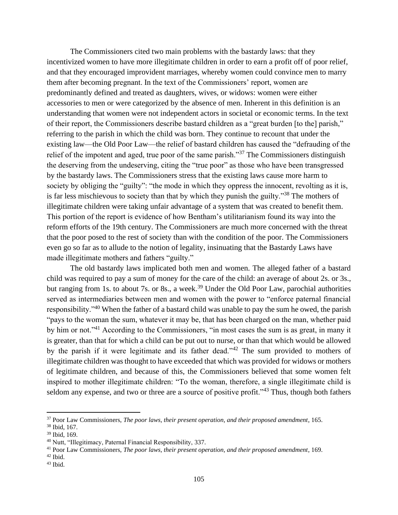The Commissioners cited two main problems with the bastardy laws: that they incentivized women to have more illegitimate children in order to earn a profit off of poor relief, and that they encouraged improvident marriages, whereby women could convince men to marry them after becoming pregnant. In the text of the Commissioners' report, women are predominantly defined and treated as daughters, wives, or widows: women were either accessories to men or were categorized by the absence of men. Inherent in this definition is an understanding that women were not independent actors in societal or economic terms. In the text of their report, the Commissioners describe bastard children as a "great burden [to the] parish," referring to the parish in which the child was born. They continue to recount that under the existing law––the Old Poor Law––the relief of bastard children has caused the "defrauding of the relief of the impotent and aged, true poor of the same parish."<sup>37</sup> The Commissioners distinguish the deserving from the undeserving, citing the "true poor" as those who have been transgressed by the bastardy laws. The Commissioners stress that the existing laws cause more harm to society by obliging the "guilty": "the mode in which they oppress the innocent, revolting as it is, is far less mischievous to society than that by which they punish the guilty."<sup>38</sup> The mothers of illegitimate children were taking unfair advantage of a system that was created to benefit them. This portion of the report is evidence of how Bentham's utilitarianism found its way into the reform efforts of the 19th century. The Commissioners are much more concerned with the threat that the poor posed to the rest of society than with the condition of the poor. The Commissioners even go so far as to allude to the notion of legality, insinuating that the Bastardy Laws have made illegitimate mothers and fathers "guilty."

The old bastardy laws implicated both men and women. The alleged father of a bastard child was required to pay a sum of money for the care of the child: an average of about 2s. or 3s., but ranging from 1s. to about 7s. or 8s., a week.<sup>39</sup> Under the Old Poor Law, parochial authorities served as intermediaries between men and women with the power to "enforce paternal financial responsibility."<sup>40</sup> When the father of a bastard child was unable to pay the sum he owed, the parish "pays to the woman the sum, whatever it may be, that has been charged on the man, whether paid by him or not."<sup>41</sup> According to the Commissioners, "in most cases the sum is as great, in many it is greater, than that for which a child can be put out to nurse, or than that which would be allowed by the parish if it were legitimate and its father dead."<sup>42</sup> The sum provided to mothers of illegitimate children was thought to have exceeded that which was provided for widows or mothers of legitimate children, and because of this, the Commissioners believed that some women felt inspired to mother illegitimate children: "To the woman, therefore, a single illegitimate child is seldom any expense, and two or three are a source of positive profit."<sup>43</sup> Thus, though both fathers

<sup>37</sup> Poor Law Commissioners, *The poor laws, their present operation, and their proposed amendment*, 165.

<sup>38</sup> Ibid, 167.

<sup>39</sup> Ibid, 169.

<sup>40</sup> Nutt, "Illegitimacy, Paternal Financial Responsibility, 337.

<sup>41</sup> Poor Law Commissioners, *The poor laws, their present operation, and their proposed amendment*, 169.

 $42$  Ibid.

 $43$  Ibid.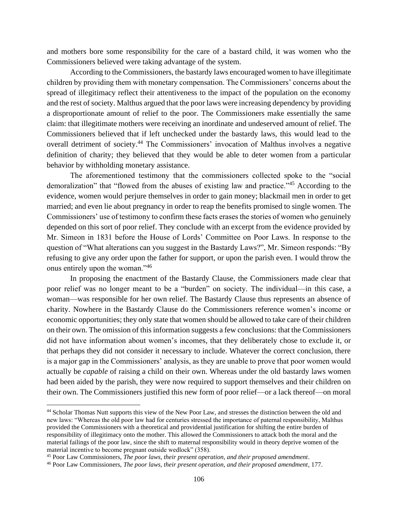and mothers bore some responsibility for the care of a bastard child, it was women who the Commissioners believed were taking advantage of the system.

According to the Commissioners, the bastardy laws encouraged women to have illegitimate children by providing them with monetary compensation. The Commissioners' concerns about the spread of illegitimacy reflect their attentiveness to the impact of the population on the economy and the rest of society. Malthus argued that the poor laws were increasing dependency by providing a disproportionate amount of relief to the poor. The Commissioners make essentially the same claim: that illegitimate mothers were receiving an inordinate and undeserved amount of relief. The Commissioners believed that if left unchecked under the bastardy laws, this would lead to the overall detriment of society.<sup>44</sup> The Commissioners' invocation of Malthus involves a negative definition of charity; they believed that they would be able to deter women from a particular behavior by withholding monetary assistance.

The aforementioned testimony that the commissioners collected spoke to the "social demoralization" that "flowed from the abuses of existing law and practice."<sup>45</sup> According to the evidence, women would perjure themselves in order to gain money; blackmail men in order to get married; and even lie about pregnancy in order to reap the benefits promised to single women. The Commissioners' use of testimony to confirm these facts erases the stories of women who genuinely depended on this sort of poor relief. They conclude with an excerpt from the evidence provided by Mr. Simeon in 1831 before the House of Lords' Committee on Poor Laws. In response to the question of "What alterations can you suggest in the Bastardy Laws?", Mr. Simeon responds: "By refusing to give any order upon the father for support, or upon the parish even. I would throw the onus entirely upon the woman."<sup>46</sup>

In proposing the enactment of the Bastardy Clause, the Commissioners made clear that poor relief was no longer meant to be a "burden" on society. The individual—in this case, a woman––was responsible for her own relief. The Bastardy Clause thus represents an absence of charity. Nowhere in the Bastardy Clause do the Commissioners reference women's income or economic opportunities; they only state that women should be allowed to take care of their children on their own. The omission of this information suggests a few conclusions: that the Commissioners did not have information about women's incomes, that they deliberately chose to exclude it, or that perhaps they did not consider it necessary to include. Whatever the correct conclusion, there is a major gap in the Commissioners' analysis, as they are unable to prove that poor women would actually be *capable* of raising a child on their own. Whereas under the old bastardy laws women had been aided by the parish, they were now required to support themselves and their children on their own. The Commissioners justified this new form of poor relief––or a lack thereof––on moral

<sup>44</sup> Scholar Thomas Nutt supports this view of the New Poor Law, and stresses the distinction between the old and new laws: "Whereas the old poor law had for centuries stressed the importance of paternal responsibility, Malthus provided the Commissioners with a theoretical and providential justification for shifting the entire burden of responsibility of illegitimacy onto the mother. This allowed the Commissioners to attack both the moral and the material failings of the poor law, since the shift to maternal responsibility would in theory deprive women of the material incentive to become pregnant outside wedlock" (358).

<sup>45</sup> Poor Law Commissioners, *The poor laws, their present operation, and their proposed amendment*.

<sup>46</sup> Poor Law Commissioners, *The poor laws, their present operation, and their proposed amendment*, 177.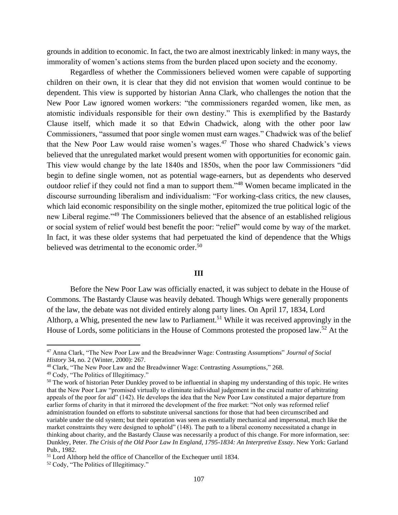grounds in addition to economic. In fact, the two are almost inextricably linked: in many ways, the immorality of women's actions stems from the burden placed upon society and the economy.

Regardless of whether the Commissioners believed women were capable of supporting children on their own, it is clear that they did not envision that women would continue to be dependent. This view is supported by historian Anna Clark, who challenges the notion that the New Poor Law ignored women workers: "the commissioners regarded women, like men, as atomistic individuals responsible for their own destiny." This is exemplified by the Bastardy Clause itself, which made it so that Edwin Chadwick, along with the other poor law Commissioners, "assumed that poor single women must earn wages." Chadwick was of the belief that the New Poor Law would raise women's wages.<sup>47</sup> Those who shared Chadwick's views believed that the unregulated market would present women with opportunities for economic gain. This view would change by the late 1840s and 1850s, when the poor law Commissioners "did begin to define single women, not as potential wage-earners, but as dependents who deserved outdoor relief if they could not find a man to support them."<sup>48</sup> Women became implicated in the discourse surrounding liberalism and individualism: "For working-class critics, the new clauses, which laid economic responsibility on the single mother, epitomized the true political logic of the new Liberal regime."<sup>49</sup> The Commissioners believed that the absence of an established religious or social system of relief would best benefit the poor: "relief" would come by way of the market. In fact, it was these older systems that had perpetuated the kind of dependence that the Whigs believed was detrimental to the economic order.<sup>50</sup>

### **III**

Before the New Poor Law was officially enacted, it was subject to debate in the House of Commons. The Bastardy Clause was heavily debated. Though Whigs were generally proponents of the law, the debate was not divided entirely along party lines. On April 17, 1834, Lord Althorp, a Whig, presented the new law to Parliament.<sup>51</sup> While it was received approvingly in the House of Lords, some politicians in the House of Commons protested the proposed law.<sup>52</sup> At the

<sup>47</sup> Anna Clark, "The New Poor Law and the Breadwinner Wage: Contrasting Assumptions" *Journal of Social History* 34, no. 2 (Winter, 2000): 267.

<sup>48</sup> Clark, "The New Poor Law and the Breadwinner Wage: Contrasting Assumptions," 268.

<sup>49</sup> Cody, "The Politics of Illegitimacy."

<sup>&</sup>lt;sup>50</sup> The work of historian Peter Dunkley proved to be influential in shaping my understanding of this topic. He writes that the New Poor Law "promised virtually to eliminate individual judgement in the crucial matter of arbitrating appeals of the poor for aid" (142). He develops the idea that the New Poor Law constituted a major departure from earlier forms of charity in that it mirrored the development of the free market: "Not only was reformed relief administration founded on efforts to substitute universal sanctions for those that had been circumscribed and variable under the old system; but their operation was seen as essentially mechanical and impersonal, much like the market constraints they were designed to uphold" (148). The path to a liberal economy necessitated a change in thinking about charity, and the Bastardy Clause was necessarily a product of this change. For more information, see: Dunkley, Peter. *The Crisis of the Old Poor Law In England, 1795-1834: An Interpretive Essay*. New York: Garland Pub., 1982.

<sup>51</sup> Lord Althorp held the office of Chancellor of the Exchequer until 1834.

<sup>52</sup> Cody, "The Politics of Illegitimacy."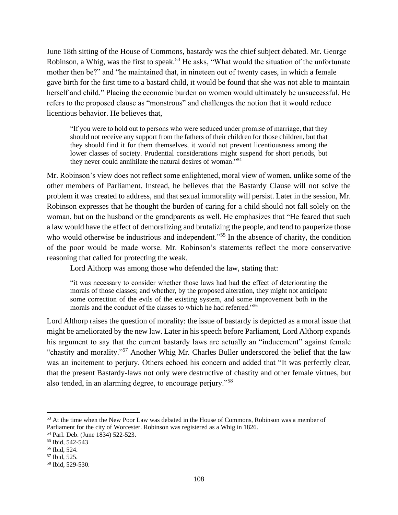June 18th sitting of the House of Commons, bastardy was the chief subject debated. Mr. George Robinson, a Whig, was the first to speak.<sup>53</sup> He asks, "What would the situation of the unfortunate mother then be?" and "he maintained that, in nineteen out of twenty cases, in which a female gave birth for the first time to a bastard child, it would be found that she was not able to maintain herself and child." Placing the economic burden on women would ultimately be unsuccessful. He refers to the proposed clause as "monstrous" and challenges the notion that it would reduce licentious behavior. He believes that,

"If you were to hold out to persons who were seduced under promise of marriage, that they should not receive any support from the fathers of their children for those children, but that they should find it for them themselves, it would not prevent licentiousness among the lower classes of society. Prudential considerations might suspend for short periods, but they never could annihilate the natural desires of woman."<sup>54</sup>

Mr. Robinson's view does not reflect some enlightened, moral view of women, unlike some of the other members of Parliament. Instead, he believes that the Bastardy Clause will not solve the problem it was created to address, and that sexual immorality will persist. Later in the session, Mr. Robinson expresses that he thought the burden of caring for a child should not fall solely on the woman, but on the husband or the grandparents as well. He emphasizes that "He feared that such a law would have the effect of demoralizing and brutalizing the people, and tend to pauperize those who would otherwise be industrious and independent."<sup>55</sup> In the absence of charity, the condition of the poor would be made worse. Mr. Robinson's statements reflect the more conservative reasoning that called for protecting the weak.

Lord Althorp was among those who defended the law, stating that:

"it was necessary to consider whether those laws had had the effect of deteriorating the morals of those classes; and whether, by the proposed alteration, they might not anticipate some correction of the evils of the existing system, and some improvement both in the morals and the conduct of the classes to which he had referred."<sup>56</sup>

Lord Althorp raises the question of morality: the issue of bastardy is depicted as a moral issue that might be ameliorated by the new law. Later in his speech before Parliament, Lord Althorp expands his argument to say that the current bastardy laws are actually an "inducement" against female "chastity and morality."<sup>57</sup> Another Whig Mr. Charles Buller underscored the belief that the law was an incitement to perjury. Others echoed his concern and added that "It was perfectly clear, that the present Bastardy-laws not only were destructive of chastity and other female virtues, but also tended, in an alarming degree, to encourage perjury."<sup>58</sup>

<sup>&</sup>lt;sup>53</sup> At the time when the New Poor Law was debated in the House of Commons, Robinson was a member of Parliament for the city of Worcester. Robinson was registered as a Whig in 1826.

<sup>54</sup> Parl. Deb. (June 1834) 522-523.

<sup>55</sup> Ibid, 542-543

<sup>56</sup> Ibid, 524.

<sup>57</sup> Ibid, 525.

<sup>58</sup> [Ibid,](https://api.parliament.uk/historic-hansard/commons/1834/jun/18/poor-laws-amendment-committee) 529-530.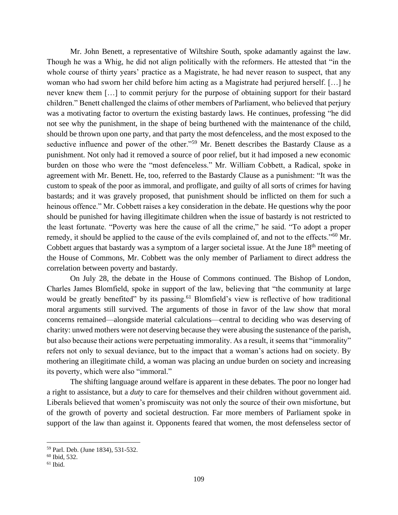Mr. John Benett, a representative of Wiltshire South, spoke adamantly against the law. Though he was a Whig, he did not align politically with the reformers. He attested that "in the whole course of thirty years' practice as a Magistrate, he had never reason to suspect, that any woman who had sworn her child before him acting as a Magistrate had perjured herself. […] he never knew them […] to commit perjury for the purpose of obtaining support for their bastard children." Benett challenged the claims of other members of Parliament, who believed that perjury was a motivating factor to overturn the existing bastardy laws. He continues, professing "he did not see why the punishment, in the shape of being burthened with the maintenance of the child, should be thrown upon one party, and that party the most defenceless, and the most exposed to the seductive influence and power of the other."<sup>59</sup> Mr. Benett describes the Bastardy Clause as a punishment. Not only had it removed a source of poor relief, but it had imposed a new economic burden on those who were the "most defenceless." Mr. William Cobbett, a Radical, spoke in agreement with Mr. Benett. He, too, referred to the Bastardy Clause as a punishment: "It was the custom to speak of the poor as immoral, and profligate, and guilty of all sorts of crimes for having bastards; and it was gravely proposed, that punishment should be inflicted on them for such a heinous offence." Mr. Cobbett raises a key consideration in the debate. He questions why the poor should be punished for having illegitimate children when the issue of bastardy is not restricted to the least fortunate. "Poverty was here the cause of all the crime," he said. "To adopt a proper remedy, it should be applied to the cause of the evils complained of, and not to the effects."<sup>60</sup> Mr. Cobbett argues that bastardy was a symptom of a larger societal issue. At the June 18<sup>th</sup> meeting of the House of Commons, Mr. Cobbett was the only member of Parliament to direct address the correlation between poverty and bastardy.

On July 28, the debate in the House of Commons continued. The Bishop of London, Charles James Blomfield, spoke in support of the law, believing that "the community at large would be greatly benefited" by its passing.<sup>61</sup> Blomfield's view is reflective of how traditional moral arguments still survived. The arguments of those in favor of the law show that moral concerns remained––alongside material calculations––central to deciding who was deserving of charity: unwed mothers were not deserving because they were abusing the sustenance of the parish, but also because their actions were perpetuating immorality. As a result, it seems that "immorality" refers not only to sexual deviance, but to the impact that a woman's actions had on society. By mothering an illegitimate child, a woman was placing an undue burden on society and increasing its poverty, which were also "immoral."

The shifting language around welfare is apparent in these debates. The poor no longer had a right to assistance, but a *duty* to care for themselves and their children without government aid. Liberals believed that women's promiscuity was not only the source of their own misfortune, but of the growth of poverty and societal destruction. Far more members of Parliament spoke in support of the law than against it. Opponents feared that women, the most defenseless sector of

<sup>59</sup> Parl. Deb. (June 1834), 531-532.

<sup>60</sup> Ibid, 532.

 $61$  Ibid.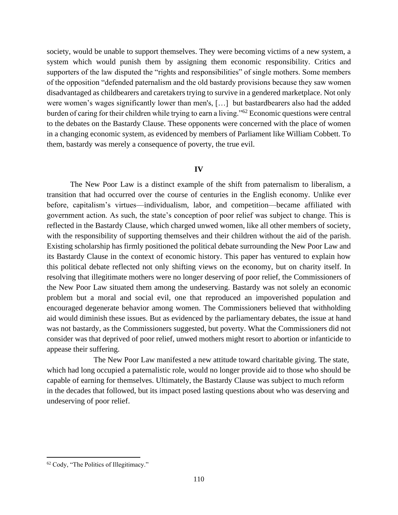society, would be unable to support themselves. They were becoming victims of a new system, a system which would punish them by assigning them economic responsibility. Critics and supporters of the law disputed the "rights and responsibilities" of single mothers. Some members of the opposition "defended paternalism and the old bastardy provisions because they saw women disadvantaged as childbearers and caretakers trying to survive in a gendered marketplace. Not only were women's wages significantly lower than men's, […] but bastardbearers also had the added burden of caring for their children while trying to earn a living."<sup>62</sup> Economic questions were central to the debates on the Bastardy Clause. These opponents were concerned with the place of women in a changing economic system, as evidenced by members of Parliament like William Cobbett. To them, bastardy was merely a consequence of poverty, the true evil.

#### **IV**

The New Poor Law is a distinct example of the shift from paternalism to liberalism, a transition that had occurred over the course of centuries in the English economy. Unlike ever before, capitalism's virtues—individualism, labor, and competition—became affiliated with government action. As such, the state's conception of poor relief was subject to change. This is reflected in the Bastardy Clause, which charged unwed women, like all other members of society, with the responsibility of supporting themselves and their children without the aid of the parish. Existing scholarship has firmly positioned the political debate surrounding the New Poor Law and its Bastardy Clause in the context of economic history. This paper has ventured to explain how this political debate reflected not only shifting views on the economy, but on charity itself. In resolving that illegitimate mothers were no longer deserving of poor relief, the Commissioners of the New Poor Law situated them among the undeserving. Bastardy was not solely an economic problem but a moral and social evil, one that reproduced an impoverished population and encouraged degenerate behavior among women. The Commissioners believed that withholding aid would diminish these issues. But as evidenced by the parliamentary debates, the issue at hand was not bastardy, as the Commissioners suggested, but poverty. What the Commissioners did not consider was that deprived of poor relief, unwed mothers might resort to abortion or infanticide to appease their suffering.

The New Poor Law manifested a new attitude toward charitable giving. The state, which had long occupied a paternalistic role, would no longer provide aid to those who should be capable of earning for themselves. Ultimately, the Bastardy Clause was subject to much reform in the decades that followed, but its impact posed lasting questions about who was deserving and undeserving of poor relief.

<sup>62</sup> Cody, "The Politics of Illegitimacy."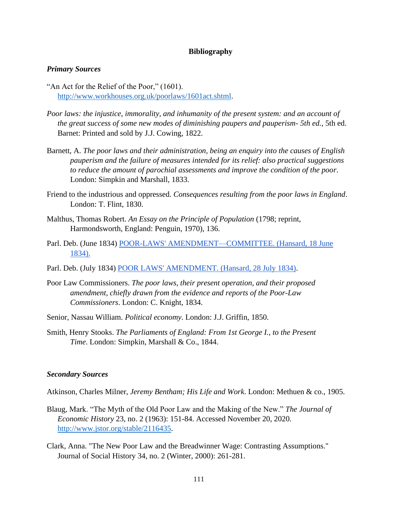## **Bibliography**

#### *Primary Sources*

- "An Act for the Relief of the Poor," (1601). [http://www.workhouses.org.uk/poorlaws/1601act.shtml.](http://www.workhouses.org.uk/poorlaws/1601act.shtml)
- *Poor laws: the injustice, immorality, and inhumanity of the present system: and an account of the great success of some new modes of diminishing paupers and pauperism- 5th ed.*, 5th ed. Barnet: Printed and sold by J.J. Cowing, 1822.
- Barnett, A. *The poor laws and their administration, being an enquiry into the causes of English pauperism and the failure of measures intended for its relief: also practical suggestions to reduce the amount of parochial assessments and improve the condition of the poor*. London: Simpkin and Marshall, 1833.
- Friend to the industrious and oppressed. *Consequences resulting from the poor laws in England*. London: T. Flint, 1830.
- Malthus, Thomas Robert. *An Essay on the Principle of Population* (1798; reprint, Harmondsworth, England: Penguin, 1970), 136.
- Parl. Deb. (June 1834) [POOR-LAWS' AMENDMENT—COMMITTEE. \(Hansard, 18 June](https://api.parliament.uk/historic-hansard/commons/1834/jun/18/poor-laws-amendment-committee)  [1834\).](https://api.parliament.uk/historic-hansard/commons/1834/jun/18/poor-laws-amendment-committee)
- Parl. Deb. (July 1834) [POOR LAWS' AMENDMENT. \(Hansard, 28 July 1834\).](https://api.parliament.uk/historic-hansard/lords/1834/jul/28/poor-laws-amendment)
- Poor Law Commissioners. *The poor laws, their present operation, and their proposed amendment, chiefly drawn from the evidence and reports of the Poor-Law Commissioners*. London: C. Knight, 1834.
- Senior, Nassau William. *Political economy*. London: J.J. Griffin, 1850.
- Smith, Henry Stooks. *The Parliaments of England: From 1st George I., to the Present Time*. London: Simpkin, Marshall & Co., 1844.

#### *Secondary Sources*

Atkinson, Charles Milner, *Jeremy Bentham; His Life and Work*. London: Methuen & co., 1905.

- Blaug, Mark. "The Myth of the Old Poor Law and the Making of the New." *The Journal of Economic History* 23, no. 2 (1963): 151-84. Accessed November 20, 2020. [http://www.jstor.org/stable/2116435.](http://www.jstor.org/stable/2116435)
- Clark, Anna. "The New Poor Law and the Breadwinner Wage: Contrasting Assumptions." Journal of Social History 34, no. 2 (Winter, 2000): 261-281.